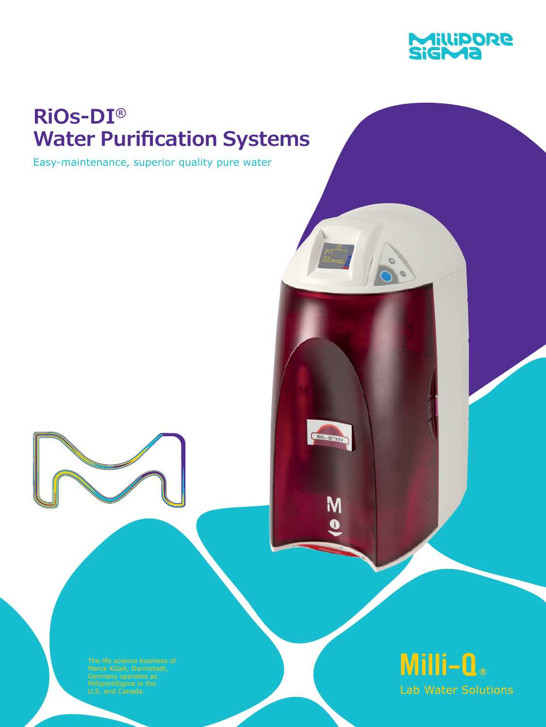

# **RiOs-DI® Water Purification Systems**

Easy-maintenance, superior quality pure water



M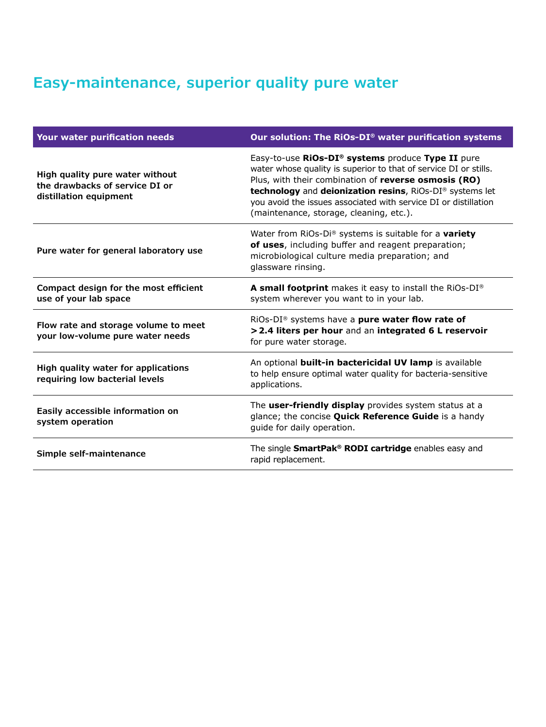# **Easy-maintenance, superior quality pure water**

| Your water purification needs                                                               | Our solution: The RiOs-DI® water purification systems                                                                                                                                                                                                                                                                                                   |
|---------------------------------------------------------------------------------------------|---------------------------------------------------------------------------------------------------------------------------------------------------------------------------------------------------------------------------------------------------------------------------------------------------------------------------------------------------------|
| High quality pure water without<br>the drawbacks of service DI or<br>distillation equipment | Easy-to-use RiOs-DI® systems produce Type II pure<br>water whose quality is superior to that of service DI or stills.<br>Plus, with their combination of reverse osmosis (RO)<br>technology and deionization resins, RiOs-DI® systems let<br>you avoid the issues associated with service DI or distillation<br>(maintenance, storage, cleaning, etc.). |
| Pure water for general laboratory use                                                       | Water from RiOs-Di® systems is suitable for a variety<br>of uses, including buffer and reagent preparation;<br>microbiological culture media preparation; and<br>glassware rinsing.                                                                                                                                                                     |
| Compact design for the most efficient<br>use of your lab space                              | A small footprint makes it easy to install the RiOs-DI®<br>system wherever you want to in your lab.                                                                                                                                                                                                                                                     |
| Flow rate and storage volume to meet<br>your low-volume pure water needs                    | RiOs-DI <sup>®</sup> systems have a <b>pure water flow rate of</b><br>> 2.4 liters per hour and an integrated 6 L reservoir<br>for pure water storage.                                                                                                                                                                                                  |
| High quality water for applications<br>requiring low bacterial levels                       | An optional built-in bactericidal UV lamp is available<br>to help ensure optimal water quality for bacteria-sensitive<br>applications.                                                                                                                                                                                                                  |
| Easily accessible information on<br>system operation                                        | The user-friendly display provides system status at a<br>glance; the concise <b>Quick Reference Guide</b> is a handy<br>guide for daily operation.                                                                                                                                                                                                      |
| Simple self-maintenance                                                                     | The single SmartPak® RODI cartridge enables easy and<br>rapid replacement.                                                                                                                                                                                                                                                                              |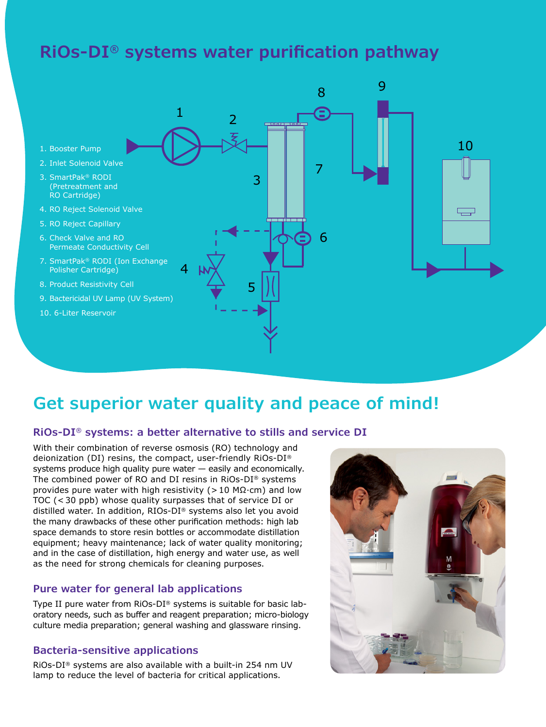# **RiOs-DI® systems water purification pathway**



### **Get superior water quality and peace of mind!**

#### **RiOs-DI® systems: a better alternative to stills and service DI**

With their combination of reverse osmosis (RO) technology and deionization (DI) resins, the compact, user-friendly RiOs-DI® systems produce high quality pure water — easily and economically. The combined power of RO and DI resins in RiOs-DI® systems provides pure water with high resistivity (> 10 M $\Omega$ ·cm) and low TOC (< 30 ppb) whose quality surpasses that of service DI or distilled water. In addition, RIOs-DI® systems also let you avoid the many drawbacks of these other purification methods: high lab space demands to store resin bottles or accommodate distillation equipment; heavy maintenance; lack of water quality monitoring; and in the case of distillation, high energy and water use, as well as the need for strong chemicals for cleaning purposes.

#### **Pure water for general lab applications**

Type II pure water from RiOs-DI® systems is suitable for basic laboratory needs, such as buffer and reagent preparation; micro-biology culture media preparation; general washing and glassware rinsing.

#### **Bacteria-sensitive applications**

RiOs-DI® systems are also available with a built-in 254 nm UV lamp to reduce the level of bacteria for critical applications.

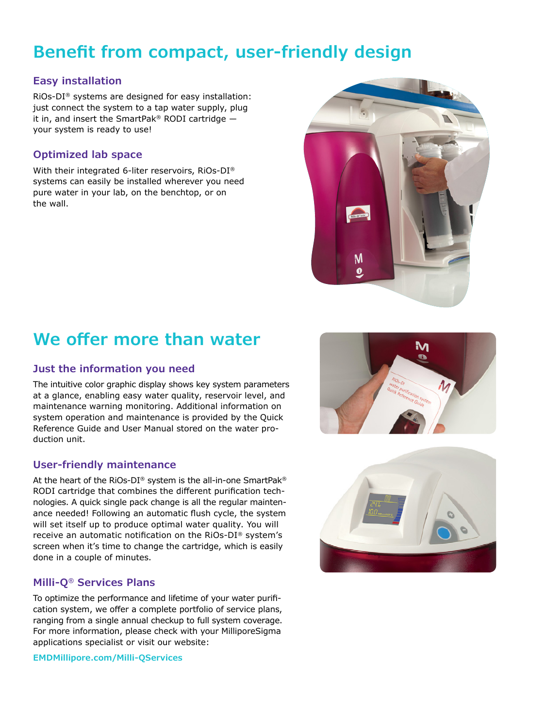# **Benefit from compact, user-friendly design**

### **Easy installation**

RiOs-DI® systems are designed for easy installation: just connect the system to a tap water supply, plug it in, and insert the SmartPak® RODI cartridge  $$ your system is ready to use!

### **Optimized lab space**

With their integrated 6-liter reservoirs, RiOs-DI® systems can easily be installed wherever you need pure water in your lab, on the benchtop, or on the wall.



# **We offer more than water**

### **Just the information you need**

The intuitive color graphic display shows key system parameters at a glance, enabling easy water quality, reservoir level, and maintenance warning monitoring. Additional information on system operation and maintenance is provided by the Quick Reference Guide and User Manual stored on the water production unit.

### **User-friendly maintenance**

At the heart of the RiOs-DI® system is the all-in-one SmartPak® RODI cartridge that combines the different purification technologies. A quick single pack change is all the regular maintenance needed! Following an automatic flush cycle, the system will set itself up to produce optimal water quality. You will receive an automatic notification on the RiOs-DI® system's screen when it's time to change the cartridge, which is easily done in a couple of minutes.

### **Milli-Q® Services Plans**

To optimize the performance and lifetime of your water purification system, we offer a complete portfolio of service plans, ranging from a single annual checkup to full system coverage. For more information, please check with your MilliporeSigma applications specialist or visit our website:

**EMDMillipore.com/Milli-QServices**



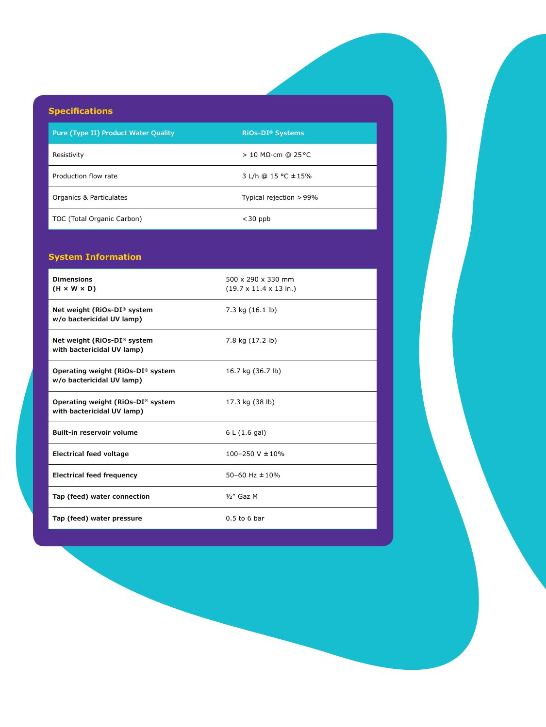### **Specifications**

**Pure (Type II) Product Water Quality RiOs-DI® Systems**

Resistivity  $> 10 MΩ·cm @ 25°C$ 

Production flow rate  $3$  L/h  $@$  15 °C  $\pm$  15%

Organics & Particulates Typical rejection >99%

TOC (Total Organic Carbon)  $<$  30 ppb

#### **System Information**

| <b>Dimensions</b><br>$(H \times W \times D)$                    | 500 x 290 x 330 mm<br>$(19.7 \times 11.4 \times 13 \text{ in.})$ |
|-----------------------------------------------------------------|------------------------------------------------------------------|
| Net weight (RiOs-DI® system<br>w/o bactericidal UV lamp)        | 7.3 kg $(16.1 \text{ lb})$                                       |
| Net weight (RiOs-DI® system<br>with bactericidal UV lamp)       | 7.8 kg (17.2 lb)                                                 |
| Operating weight (RiOs-DI® system<br>w/o bactericidal UV lamp)  | 16.7 kg (36.7 lb)                                                |
| Operating weight (RiOs-DI® system<br>with bactericidal UV lamp) | 17.3 kg (38 lb)                                                  |
| Built-in reservoir volume                                       | 6 L (1.6 gal)                                                    |
| Electrical feed voltage                                         | $100 - 250$ V $\pm 10\%$                                         |
| Electrical feed frequency                                       | 50-60 Hz $\pm$ 10%                                               |
| Tap (feed) water connection                                     | $1/2''$ Gaz M                                                    |
| Tap (feed) water pressure                                       | $0.5$ to 6 bar                                                   |